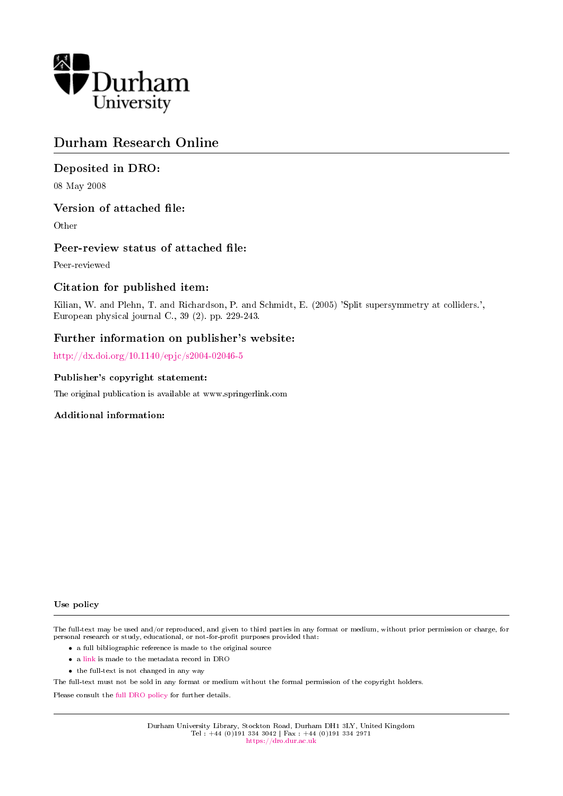

# Durham Research Online

## Deposited in DRO:

08 May 2008

## Version of attached file:

Other

## Peer-review status of attached file:

Peer-reviewed

## Citation for published item:

Kilian, W. and Plehn, T. and Richardson, P. and Schmidt, E. (2005) 'Split supersymmetry at colliders.', European physical journal C., 39 (2). pp. 229-243.

## Further information on publisher's website:

<http://dx.doi.org/10.1140/epjc/s2004-02046-5>

### Publisher's copyright statement:

The original publication is available at www.springerlink.com

### Additional information:

#### Use policy

The full-text may be used and/or reproduced, and given to third parties in any format or medium, without prior permission or charge, for personal research or study, educational, or not-for-profit purposes provided that:

- a full bibliographic reference is made to the original source
- a [link](http://dro.dur.ac.uk/1601/) is made to the metadata record in DRO
- the full-text is not changed in any way

The full-text must not be sold in any format or medium without the formal permission of the copyright holders.

Please consult the [full DRO policy](https://dro.dur.ac.uk/policies/usepolicy.pdf) for further details.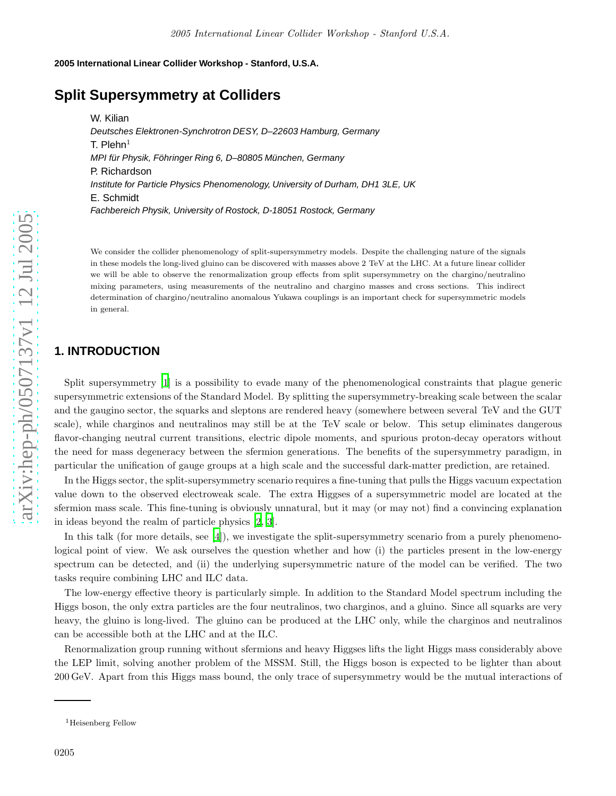#### **2005 International Linear Collider Workshop - Stanford, U.S.A.**

## **Split Supersymmetry at Colliders**

W. Kilian Deutsches Elektronen-Synchrotron DESY, D–22603 Hamburg, Germany T. Plehn $^1$ MPI für Physik, Föhringer Ring 6, D–80805 München, Germany P. Richardson Institute for Particle Physics Phenomenology, University of Durham, DH1 3LE, UK E. Schmidt Fachbereich Physik, University of Rostock, D-18051 Rostock, Germany

We consider the collider phenomenology of split-supersymmetry models. Despite the challenging nature of the signals in these models the long-lived gluino can be discovered with masses above 2 TeV at the LHC. At a future linear collider we will be able to observe the renormalization group effects from split supersymmetry on the chargino/neutralino mixing parameters, using measurements of the neutralino and chargino masses and cross sections. This indirect determination of chargino/neutralino anomalous Yukawa couplings is an important check for supersymmetric models in general.

## **1. INTRODUCTION**

Split supersymmetry [\[1](#page-6-0)] is a possibility to evade many of the phenomenological constraints that plague generic supersymmetric extensions of the Standard Model. By splitting the supersymmetry-breaking scale between the scalar and the gaugino sector, the squarks and sleptons are rendered heavy (somewhere between several TeV and the GUT scale), while charginos and neutralinos may still be at the TeV scale or below. This setup eliminates dangerous flavor-changing neutral current transitions, electric dipole moments, and spurious proton-decay operators without the need for mass degeneracy between the sfermion generations. The benefits of the supersymmetry paradigm, in particular the unification of gauge groups at a high scale and the successful dark-matter prediction, are retained.

In the Higgs sector, the split-supersymmetry scenario requires a fine-tuning that pulls the Higgs vacuum expectation value down to the observed electroweak scale. The extra Higgses of a supersymmetric model are located at the sfermion mass scale. This fine-tuning is obviously unnatural, but it may (or may not) find a convincing explanation in ideas beyond the realm of particle physics [\[2,](#page-6-1) [3\]](#page-6-2).

In this talk (for more details, see [\[4\]](#page-6-3)), we investigate the split-supersymmetry scenario from a purely phenomenological point of view. We ask ourselves the question whether and how (i) the particles present in the low-energy spectrum can be detected, and (ii) the underlying supersymmetric nature of the model can be verified. The two tasks require combining LHC and ILC data.

The low-energy effective theory is particularly simple. In addition to the Standard Model spectrum including the Higgs boson, the only extra particles are the four neutralinos, two charginos, and a gluino. Since all squarks are very heavy, the gluino is long-lived. The gluino can be produced at the LHC only, while the charginos and neutralinos can be accessible both at the LHC and at the ILC.

Renormalization group running without sfermions and heavy Higgses lifts the light Higgs mass considerably above the LEP limit, solving another problem of the MSSM. Still, the Higgs boson is expected to be lighter than about 200 GeV. Apart from this Higgs mass bound, the only trace of supersymmetry would be the mutual interactions of

<sup>&</sup>lt;sup>1</sup>Heisenberg Fellow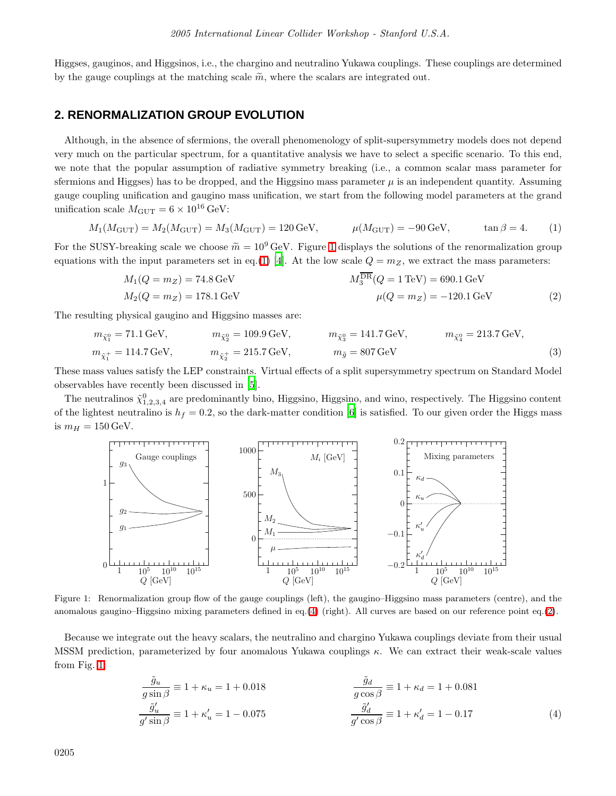Higgses, gauginos, and Higgsinos, i.e., the chargino and neutralino Yukawa couplings. These couplings are determined by the gauge couplings at the matching scale  $\widetilde{m}$ , where the scalars are integrated out.

## **2. RENORMALIZATION GROUP EVOLUTION**

Although, in the absence of sfermions, the overall phenomenology of split-supersymmetry models does not depend very much on the particular spectrum, for a quantitative analysis we have to select a specific scenario. To this end, we note that the popular assumption of radiative symmetry breaking (i.e., a common scalar mass parameter for sfermions and Higgses) has to be dropped, and the Higgsino mass parameter  $\mu$  is an independent quantity. Assuming gauge coupling unification and gaugino mass unification, we start from the following model parameters at the grand unification scale  $M_{\text{GUT}} = 6 \times 10^{16} \text{ GeV}$ :

$$
M_1(M_{\text{GUT}}) = M_2(M_{\text{GUT}}) = M_3(M_{\text{GUT}}) = 120 \,\text{GeV}, \qquad \mu(M_{\text{GUT}}) = -90 \,\text{GeV}, \qquad \tan \beta = 4. \tag{1}
$$

For the SUSY-breaking scale we choose  $\tilde{m} = 10^9$  $\tilde{m} = 10^9$  $\tilde{m} = 10^9$  GeV. Figure 1 displays the solutions of the renormalization group equations with the input parameters set in eq.[\(1\)](#page-2-1) [\[4](#page-6-3)]. At the low scale  $Q = m_Z$ , we extract the mass parameters:

<span id="page-2-3"></span><span id="page-2-1"></span>
$$
M_1(Q = m_Z) = 74.8 \,\text{GeV}
$$
\n
$$
M_2^{\text{DR}}(Q = 1 \,\text{TeV}) = 690.1 \,\text{GeV}
$$
\n
$$
M_2(Q = m_Z) = 178.1 \,\text{GeV}
$$
\n
$$
\mu(Q = m_Z) = -120.1 \,\text{GeV}
$$
\n(2)

The resulting physical gaugino and Higgsino masses are:

$$
m_{\tilde{\chi}_1^0} = 71.1 \,\text{GeV}, \qquad m_{\tilde{\chi}_2^0} = 109.9 \,\text{GeV}, \qquad m_{\tilde{\chi}_3^0} = 141.7 \,\text{GeV}, \qquad m_{\tilde{\chi}_4^0} = 213.7 \,\text{GeV},
$$
  

$$
m_{\tilde{\chi}_1^+} = 114.7 \,\text{GeV}, \qquad m_{\tilde{\chi}_2^+} = 215.7 \,\text{GeV}, \qquad m_{\tilde{g}} = 807 \,\text{GeV}
$$
 (3)

These mass values satisfy the LEP constraints. Virtual effects of a split supersymmetry spectrum on Standard Model observables have recently been discussed in [\[5](#page-6-4)].

The neutralinos  $\tilde{\chi}_{1,2,3,4}^0$  are predominantly bino, Higgsino, Higgsino, and wino, respectively. The Higgsino content of the lightest neutralino is  $h_f = 0.2$ , so the dark-matter condition [\[6](#page-6-5)] is satisfied. To our given order the Higgs mass is  $m_H = 150$  GeV.



<span id="page-2-0"></span>Figure 1: Renormalization group flow of the gauge couplings (left), the gaugino–Higgsino mass parameters (centre), and the anomalous gaugino–Higgsino mixing parameters defined in eq.[\(4\)](#page-2-2) (right). All curves are based on our reference point eq.[\(2\)](#page-2-3).

Because we integrate out the heavy scalars, the neutralino and chargino Yukawa couplings deviate from their usual MSSM prediction, parameterized by four anomalous Yukawa couplings  $\kappa$ . We can extract their weak-scale values from Fig. [1:](#page-2-0)

<span id="page-2-2"></span>
$$
\frac{\tilde{g}_u}{g \sin \beta} \equiv 1 + \kappa_u = 1 + 0.018
$$
  
\n
$$
\frac{\tilde{g}_d}{g' \cos \beta} \equiv 1 + \kappa_d = 1 + 0.081
$$
  
\n
$$
\frac{\tilde{g}_u'}{g' \sin \beta} \equiv 1 + \kappa_u' = 1 - 0.075
$$
  
\n
$$
\frac{\tilde{g}_d'}{g' \cos \beta} \equiv 1 + \kappa_d' = 1 - 0.17
$$
  
\n(4)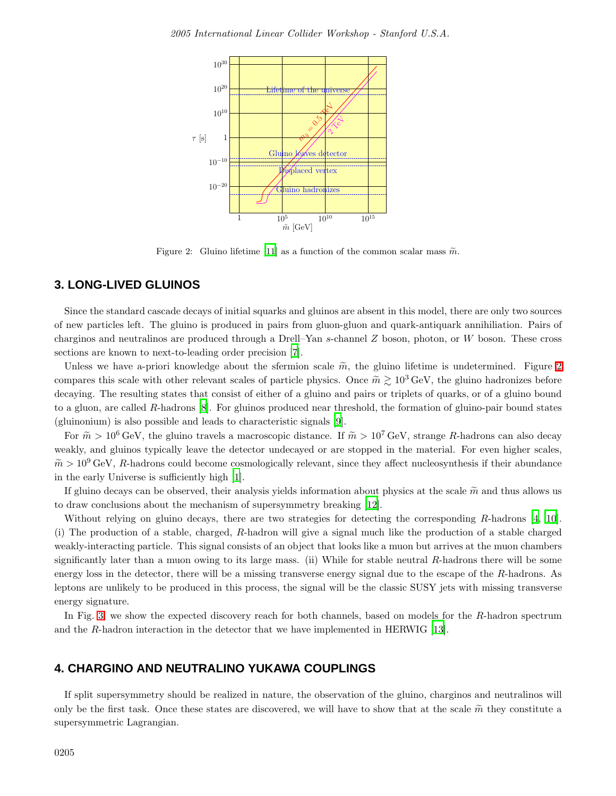

<span id="page-3-0"></span>Figure 2: Gluino lifetime [\[11\]](#page-6-6) as a function of the common scalar mass  $\tilde{m}$ .

### **3. LONG-LIVED GLUINOS**

Since the standard cascade decays of initial squarks and gluinos are absent in this model, there are only two sources of new particles left. The gluino is produced in pairs from gluon-gluon and quark-antiquark annihiliation. Pairs of charginos and neutralinos are produced through a Drell–Yan s-channel Z boson, photon, or W boson. These cross sections are known to next-to-leading order precision [\[7\]](#page-6-7).

Unless we have a-priori knowledge about the sfermion scale  $\tilde{m}$ , the gluino lifetime is undetermined. Figure [2](#page-3-0) compares this scale with other relevant scales of particle physics. Once  $\tilde{m} \gtrsim 10^3 \text{ GeV}$ , the gluino hadronizes before decaying. The resulting states that consist of either of a gluino and pairs or triplets of quarks, or of a gluino bound to a gluon, are called R-hadrons [\[8](#page-6-8)]. For gluinos produced near threshold, the formation of gluino-pair bound states (gluinonium) is also possible and leads to characteristic signals [\[9](#page-6-9)].

For  $\tilde{m} > 10^6$  GeV, the gluino travels a macroscopic distance. If  $\tilde{m} > 10^7$  GeV, strange R-hadrons can also decay weakly, and gluinos typically leave the detector undecayed or are stopped in the material. For even higher scales,  $\tilde{m} > 10^9$  GeV, R-hadrons could become cosmologically relevant, since they affect nucleosynthesis if their abundance in the early Universe is sufficiently high [\[1\]](#page-6-0).

If gluino decays can be observed, their analysis yields information about physics at the scale  $\tilde{m}$  and thus allows us to draw conclusions about the mechanism of supersymmetry breaking [\[12\]](#page-6-10).

Without relying on gluino decays, there are two strategies for detecting the corresponding R-hadrons [\[4](#page-6-3), [10](#page-6-11)]. (i) The production of a stable, charged, R-hadron will give a signal much like the production of a stable charged weakly-interacting particle. This signal consists of an object that looks like a muon but arrives at the muon chambers significantly later than a muon owing to its large mass. (ii) While for stable neutral  $R$ -hadrons there will be some energy loss in the detector, there will be a missing transverse energy signal due to the escape of the R-hadrons. As leptons are unlikely to be produced in this process, the signal will be the classic SUSY jets with missing transverse energy signature.

In Fig. [3,](#page-4-0) we show the expected discovery reach for both channels, based on models for the R-hadron spectrum and the R-hadron interaction in the detector that we have implemented in HERWIG [\[13\]](#page-6-12).

## **4. CHARGINO AND NEUTRALINO YUKAWA COUPLINGS**

If split supersymmetry should be realized in nature, the observation of the gluino, charginos and neutralinos will only be the first task. Once these states are discovered, we will have to show that at the scale  $\tilde{m}$  they constitute a supersymmetric Lagrangian.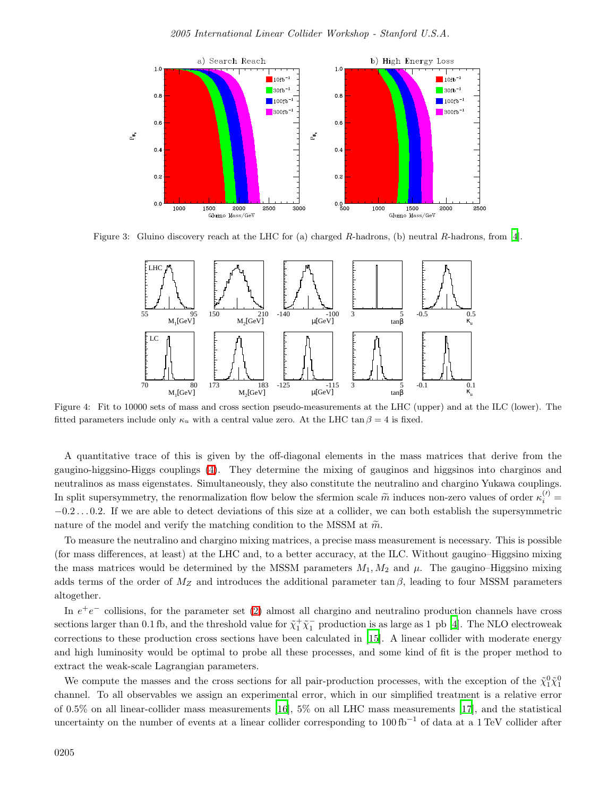

<span id="page-4-0"></span>Figure 3: Gluino discovery reach at the LHC for (a) charged R-hadrons, (b) neutral R-hadrons, from [\[4\]](#page-6-3).



<span id="page-4-1"></span>Figure 4: Fit to 10000 sets of mass and cross section pseudo-measurements at the LHC (upper) and at the ILC (lower). The fitted parameters include only  $\kappa_u$  with a central value zero. At the LHC tan  $\beta = 4$  is fixed.

A quantitative trace of this is given by the off-diagonal elements in the mass matrices that derive from the gaugino-higgsino-Higgs couplings [\(4\)](#page-2-2). They determine the mixing of gauginos and higgsinos into charginos and neutralinos as mass eigenstates. Simultaneously, they also constitute the neutralino and chargino Yukawa couplings. In split supersymmetry, the renormalization flow below the sfermion scale  $\tilde{m}$  induces non-zero values of order  $\kappa_i^{(l)}$  =  $-0.2\dots 0.2$ . If we are able to detect deviations of this size at a collider, we can both establish the supersymmetric nature of the model and verify the matching condition to the MSSM at  $\tilde{m}$ .

To measure the neutralino and chargino mixing matrices, a precise mass measurement is necessary. This is possible (for mass differences, at least) at the LHC and, to a better accuracy, at the ILC. Without gaugino–Higgsino mixing the mass matrices would be determined by the MSSM parameters  $M_1, M_2$  and  $\mu$ . The gaugino–Higgsino mixing adds terms of the order of  $M_Z$  and introduces the additional parameter tan  $\beta$ , leading to four MSSM parameters altogether.

In  $e^+e^-$  collisions, for the parameter set [\(2\)](#page-2-3) almost all chargino and neutralino production channels have cross sections larger than 0.1 fb, and the threshold value for  $\tilde{\chi}_1^+\tilde{\chi}_1^-$  production is as large as 1 pb [\[4\]](#page-6-3). The NLO electroweak corrections to these production cross sections have been calculated in [\[15\]](#page-6-13). A linear collider with moderate energy and high luminosity would be optimal to probe all these processes, and some kind of fit is the proper method to extract the weak-scale Lagrangian parameters.

We compute the masses and the cross sections for all pair-production processes, with the exception of the  $\tilde{\chi}_1^0 \tilde{\chi}_1^0$ channel. To all observables we assign an experimental error, which in our simplified treatment is a relative error of 0.5% on all linear-collider mass measurements [\[16\]](#page-6-14), 5% on all LHC mass measurements [\[17](#page-6-15)], and the statistical uncertainty on the number of events at a linear collider corresponding to 100 fb−<sup>1</sup> of data at a 1 TeV collider after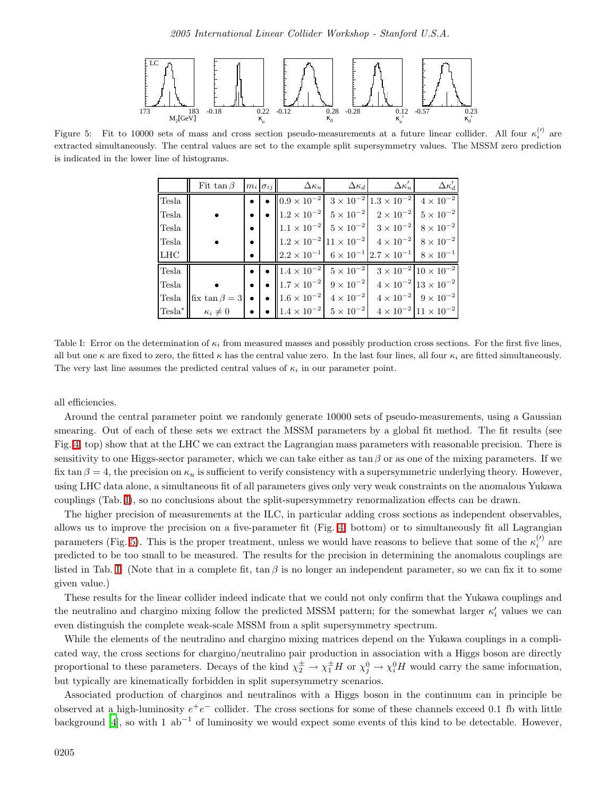

<span id="page-5-1"></span>Figure 5: Fit to 10000 sets of mass and cross section pseudo-measurements at a future linear collider. All four  $\kappa_i^{(l)}$  are extracted simultaneously. The central values are set to the example split supersymmetry values. The MSSM zero prediction is indicated in the lower line of histograms.

|             |                                                                                                                                                            |                    | Fit $\tan \beta$ $ m_i \sigma_{ij} $ $\Delta \kappa_u$ $\Delta \kappa_d$ $\Delta \kappa_u'$                                                                                    |  | $\Delta \kappa_d'$ |
|-------------|------------------------------------------------------------------------------------------------------------------------------------------------------------|--------------------|--------------------------------------------------------------------------------------------------------------------------------------------------------------------------------|--|--------------------|
| Tesla       |                                                                                                                                                            |                    | • $\vert \bullet \vert 0.9 \times 10^{-2} \vert 3 \times 10^{-2} \vert 1.3 \times 10^{-2} \vert 4 \times 10^{-2} \vert$                                                        |  |                    |
| Tesla       |                                                                                                                                                            | $\bullet$          | • $\ 1.2 \times 10^{-2}\ $ $5 \times 10^{-2}\ $ $2 \times 10^{-2}\ $ $5 \times 10^{-2}$                                                                                        |  |                    |
| Tesla       |                                                                                                                                                            | $\bullet$ $\vdash$ | $\ 1.1 \times 10^{-2}\ $ $5 \times 10^{-2}\ $ $3 \times 10^{-2}\ $ $8 \times 10^{-2}\ $                                                                                        |  |                    |
| Tesla       |                                                                                                                                                            | $\bullet$ 1        | $\left\ 1.2 \times 10^{-2}\right 11 \times 10^{-2}$ $4 \times 10^{-2}$ $8 \times 10^{-2}$                                                                                      |  |                    |
| ${\rm LHC}$ |                                                                                                                                                            | $\bullet$          | $\left\  2.2 \times 10^{-1} \right\  6 \times 10^{-1} \left  2.7 \times 10^{-1} \right  8 \times 10^{-1}$                                                                      |  |                    |
| Tesla       |                                                                                                                                                            |                    | • $\bullet$ $\parallel$ $1.4 \times 10^{-2}$ $5 \times 10^{-2}$ $3 \times 10^{-2}$ $10 \times 10^{-2}$                                                                         |  |                    |
| Tesla       |                                                                                                                                                            |                    | • $\bullet$ $\parallel$ 1.7 $\times$ 10 <sup>-2</sup> $\parallel$ 9 $\times$ 10 <sup>-2</sup> $\parallel$ 4 $\times$ 10 <sup>-2</sup> $\parallel$ 13 $\times$ 10 <sup>-2</sup> |  |                    |
|             | Tesla $\left \text{fix } \tan \beta = 3\right  \bullet \left  \bullet \right  1.6 \times 10^{-2} 4 \times 10^{-2} 4 \times 10^{-2} 9 \times 10^{-2}$       |                    |                                                                                                                                                                                |  |                    |
|             | $\text{resla}^* \  \kappa_i \neq 0 \quad \text{or} \quad \  \cdot \ _{1.4} \times 10^{-2} \  5 \times 10^{-2} \  4 \times 10^{-2} \  11 \times 10^{-2} \ $ |                    |                                                                                                                                                                                |  |                    |

<span id="page-5-0"></span>Table I: Error on the determination of  $\kappa_i$  from measured masses and possibly production cross sections. For the first five lines, all but one  $\kappa$  are fixed to zero, the fitted  $\kappa$  has the central value zero. In the last four lines, all four  $\kappa_i$  are fitted simultaneously. The very last line assumes the predicted central values of  $\kappa_i$  in our parameter point.

all efficiencies.

Around the central parameter point we randomly generate 10000 sets of pseudo-measurements, using a Gaussian smearing. Out of each of these sets we extract the MSSM parameters by a global fit method. The fit results (see Fig. [4,](#page-4-1) top) show that at the LHC we can extract the Lagrangian mass parameters with reasonable precision. There is sensitivity to one Higgs-sector parameter, which we can take either as tan  $\beta$  or as one of the mixing parameters. If we fix tan  $\beta = 4$ , the precision on  $\kappa_u$  is sufficient to verify consistency with a supersymmetric underlying theory. However, using LHC data alone, a simultaneous fit of all parameters gives only very weak constraints on the anomalous Yukawa couplings (Tab. [I\)](#page-5-0), so no conclusions about the split-supersymmetry renormalization effects can be drawn.

The higher precision of measurements at the ILC, in particular adding cross sections as independent observables, allows us to improve the precision on a five-parameter fit (Fig. [4,](#page-4-1) bottom) or to simultaneously fit all Lagrangian parameters (Fig. [5\)](#page-5-1). This is the proper treatment, unless we would have reasons to believe that some of the  $\kappa_i^{(\prime)}$  are predicted to be too small to be measured. The results for the precision in determining the anomalous couplings are listed in Tab. [I.](#page-5-0) (Note that in a complete fit,  $\tan \beta$  is no longer an independent parameter, so we can fix it to some given value.)

These results for the linear collider indeed indicate that we could not only confirm that the Yukawa couplings and the neutralino and chargino mixing follow the predicted MSSM pattern; for the somewhat larger  $\kappa'_i$  values we can even distinguish the complete weak-scale MSSM from a split supersymmetry spectrum.

While the elements of the neutralino and chargino mixing matrices depend on the Yukawa couplings in a complicated way, the cross sections for chargino/neutralino pair production in association with a Higgs boson are directly proportional to these parameters. Decays of the kind  $\chi_2^{\pm} \to \chi_1^{\pm} H$  or  $\chi_j^0 \to \chi_i^0 H$  would carry the same information, but typically are kinematically forbidden in split supersymmetry scenarios.

Associated production of charginos and neutralinos with a Higgs boson in the continuum can in principle be observed at a high-luminosity  $e^+e^-$  collider. The cross sections for some of these channels exceed 0.1 fb with little background [\[4\]](#page-6-3), so with 1  $ab^{-1}$  of luminosity we would expect some events of this kind to be detectable. However,